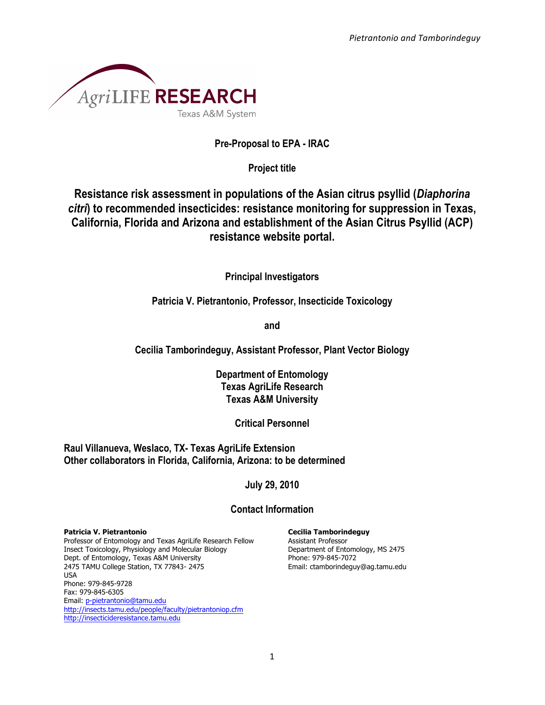

### **Pre-Proposal to EPA - IRAC**

**Project title**

**Resistance risk assessment in populations of the Asian citrus psyllid (***Diaphorina citri***) to recommended insecticides: resistance monitoring for suppression in Texas, California, Florida and Arizona and establishment of the Asian Citrus Psyllid (ACP) resistance website portal.**

**Principal Investigators**

**Patricia V. Pietrantonio, Professor, Insecticide Toxicology**

**and**

**Cecilia Tamborindeguy, Assistant Professor, Plant Vector Biology**

**Department of Entomology Texas AgriLife Research Texas A&M University**

**Critical Personnel**

**Raul Villanueva, Weslaco, TX- Texas AgriLife Extension Other collaborators in Florida, California, Arizona: to be determined**

**July 29, 2010**

# **Contact Information**

#### **Patricia V. Pietrantonio**

Professor of Entomology and Texas AgriLife Research Fellow Insect Toxicology, Physiology and Molecular Biology Dept. of Entomology, Texas A&M University 2475 TAMU College Station, TX 77843- 2475 USA Phone: 979-845-9728 Fax: 979-845-6305 Email: p-pietrantonio@tamu.edu http://insects.tamu.edu/people/faculty/pietrantoniop.cfm http://insecticideresistance.tamu.edu

**Cecilia Tamborindeguy** Assistant Professor

Department of Entomology, MS 2475 Phone: 979-845-7072 Email: ctamborindeguy@ag.tamu.edu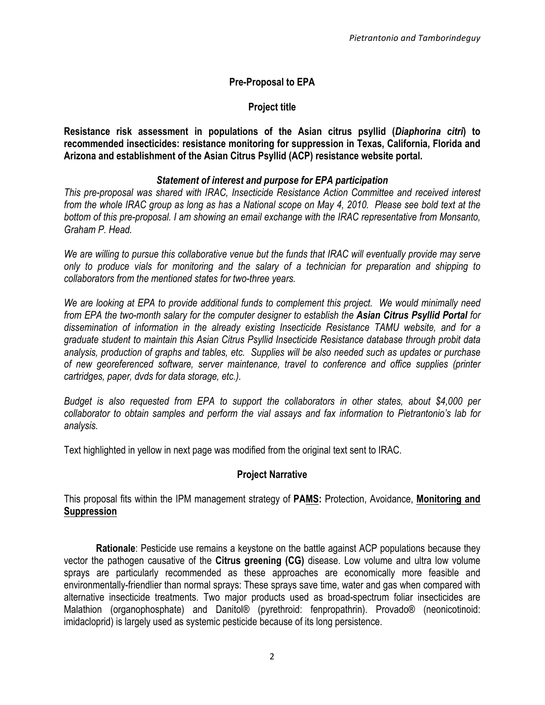# **Pre-Proposal to EPA**

# **Project title**

**Resistance risk assessment in populations of the Asian citrus psyllid (***Diaphorina citri***) to recommended insecticides: resistance monitoring for suppression in Texas, California, Florida and Arizona and establishment of the Asian Citrus Psyllid (ACP) resistance website portal.**

### *Statement of interest and purpose for EPA participation*

*This pre-proposal was shared with IRAC, Insecticide Resistance Action Committee and received interest from the whole IRAC group as long as has a National scope on May 4, 2010. Please see bold text at the bottom of this pre-proposal. I am showing an email exchange with the IRAC representative from Monsanto, Graham P. Head.*

*We are willing to pursue this collaborative venue but the funds that IRAC will eventually provide may serve only to produce vials for monitoring and the salary of a technician for preparation and shipping to collaborators from the mentioned states for two-three years.*

*We are looking at EPA to provide additional funds to complement this project. We would minimally need from EPA the two-month salary for the computer designer to establish the Asian Citrus Psyllid Portal for dissemination of information in the already existing Insecticide Resistance TAMU website, and for a graduate student to maintain this Asian Citrus Psyllid Insecticide Resistance database through probit data analysis, production of graphs and tables, etc. Supplies will be also needed such as updates or purchase of new georeferenced software, server maintenance, travel to conference and office supplies (printer cartridges, paper, dvds for data storage, etc.).*

*Budget is also requested from EPA to support the collaborators in other states, about \$4,000 per collaborator to obtain samples and perform the vial assays and fax information to Pietrantonio's lab for analysis.* 

Text highlighted in yellow in next page was modified from the original text sent to IRAC.

# **Project Narrative**

This proposal fits within the IPM management strategy of **PAMS:** Protection, Avoidance, **Monitoring and Suppression** 

**Rationale**: Pesticide use remains a keystone on the battle against ACP populations because they vector the pathogen causative of the **Citrus greening (CG)** disease. Low volume and ultra low volume sprays are particularly recommended as these approaches are economically more feasible and environmentally-friendlier than normal sprays: These sprays save time, water and gas when compared with alternative insecticide treatments. Two major products used as broad-spectrum foliar insecticides are Malathion (organophosphate) and Danitol® (pyrethroid: fenpropathrin). Provado® (neonicotinoid: imidacloprid) is largely used as systemic pesticide because of its long persistence.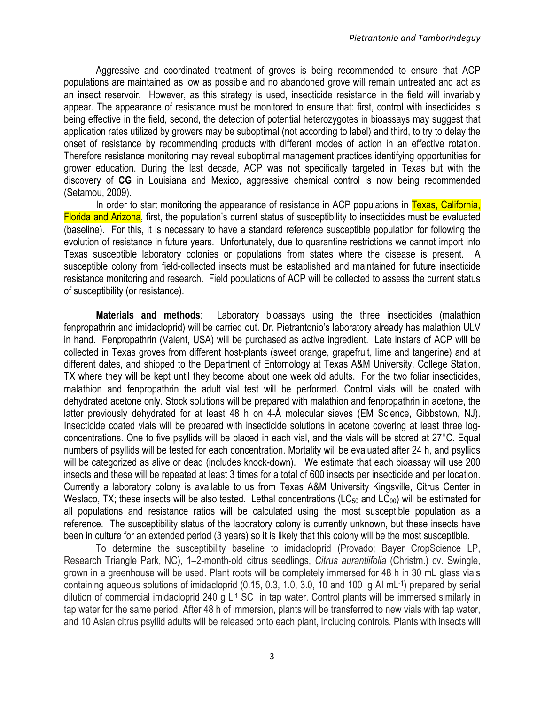Aggressive and coordinated treatment of groves is being recommended to ensure that ACP populations are maintained as low as possible and no abandoned grove will remain untreated and act as an insect reservoir. However, as this strategy is used, insecticide resistance in the field will invariably appear. The appearance of resistance must be monitored to ensure that: first, control with insecticides is being effective in the field, second, the detection of potential heterozygotes in bioassays may suggest that application rates utilized by growers may be suboptimal (not according to label) and third, to try to delay the onset of resistance by recommending products with different modes of action in an effective rotation. Therefore resistance monitoring may reveal suboptimal management practices identifying opportunities for grower education. During the last decade, ACP was not specifically targeted in Texas but with the discovery of **CG** in Louisiana and Mexico, aggressive chemical control is now being recommended (Setamou, 2009).

In order to start monitoring the appearance of resistance in ACP populations in Texas, California, Florida and Arizona, first, the population's current status of susceptibility to insecticides must be evaluated (baseline). For this, it is necessary to have a standard reference susceptible population for following the evolution of resistance in future years. Unfortunately, due to quarantine restrictions we cannot import into Texas susceptible laboratory colonies or populations from states where the disease is present. A susceptible colony from field-collected insects must be established and maintained for future insecticide resistance monitoring and research. Field populations of ACP will be collected to assess the current status of susceptibility (or resistance).

**Materials and methods**: Laboratory bioassays using the three insecticides (malathion fenpropathrin and imidacloprid) will be carried out. Dr. Pietrantonio's laboratory already has malathion ULV in hand. Fenpropathrin (Valent, USA) will be purchased as active ingredient. Late instars of ACP will be collected in Texas groves from different host-plants (sweet orange, grapefruit, lime and tangerine) and at different dates, and shipped to the Department of Entomology at Texas A&M University, College Station, TX where they will be kept until they become about one week old adults. For the two foliar insecticides, malathion and fenpropathrin the adult vial test will be performed. Control vials will be coated with dehydrated acetone only. Stock solutions will be prepared with malathion and fenpropathrin in acetone, the latter previously dehydrated for at least 48 h on 4-Å molecular sieves (EM Science, Gibbstown, NJ). Insecticide coated vials will be prepared with insecticide solutions in acetone covering at least three logconcentrations. One to five psyllids will be placed in each vial, and the vials will be stored at 27°C. Equal numbers of psyllids will be tested for each concentration. Mortality will be evaluated after 24 h, and psyllids will be categorized as alive or dead (includes knock-down). We estimate that each bioassay will use 200 insects and these will be repeated at least 3 times for a total of 600 insects per insecticide and per location. Currently a laboratory colony is available to us from Texas A&M University Kingsville, Citrus Center in Weslaco, TX; these insects will be also tested. Lethal concentrations (LC $_{50}$  and LC $_{90}$ ) will be estimated for all populations and resistance ratios will be calculated using the most susceptible population as a reference. The susceptibility status of the laboratory colony is currently unknown, but these insects have been in culture for an extended period (3 years) so it is likely that this colony will be the most susceptible.

To determine the susceptibility baseline to imidacloprid (Provado; Bayer CropScience LP, Research Triangle Park, NC), 1–2-month-old citrus seedlings, *Citrus aurantiifolia* (Christm.) cv. Swingle, grown in a greenhouse will be used. Plant roots will be completely immersed for 48 h in 30 mL glass vials containing aqueous solutions of imidacloprid (0.15, 0.3, 1.0, 3.0, 10 and 100 g AI mL-1) prepared by serial dilution of commercial imidacloprid 240 g  $L^1$  SC in tap water. Control plants will be immersed similarly in tap water for the same period. After 48 h of immersion, plants will be transferred to new vials with tap water, and 10 Asian citrus psyllid adults will be released onto each plant, including controls. Plants with insects will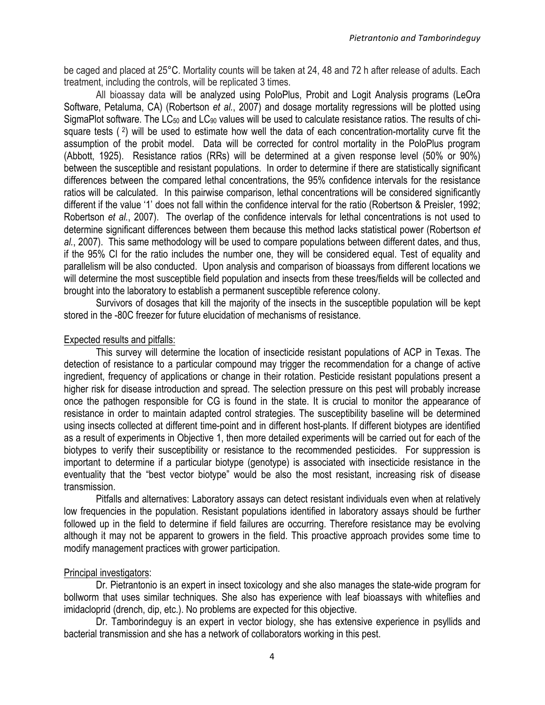be caged and placed at 25°C. Mortality counts will be taken at 24, 48 and 72 h after release of adults. Each treatment, including the controls, will be replicated 3 times.

All bioassay data will be analyzed using PoloPlus, Probit and Logit Analysis programs (LeOra Software, Petaluma, CA) (Robertson *et al.*, 2007) and dosage mortality regressions will be plotted using SigmaPlot software. The LC<sub>50</sub> and LC<sub>90</sub> values will be used to calculate resistance ratios. The results of chisquare tests  $(2)$  will be used to estimate how well the data of each concentration-mortality curve fit the assumption of the probit model. Data will be corrected for control mortality in the PoloPlus program (Abbott, 1925). Resistance ratios (RRs) will be determined at a given response level (50% or 90%) between the susceptible and resistant populations. In order to determine if there are statistically significant differences between the compared lethal concentrations, the 95% confidence intervals for the resistance ratios will be calculated. In this pairwise comparison, lethal concentrations will be considered significantly different if the value '1' does not fall within the confidence interval for the ratio (Robertson & Preisler, 1992; Robertson *et al.*, 2007). The overlap of the confidence intervals for lethal concentrations is not used to determine significant differences between them because this method lacks statistical power (Robertson *et al.*, 2007). This same methodology will be used to compare populations between different dates, and thus, if the 95% CI for the ratio includes the number one, they will be considered equal. Test of equality and parallelism will be also conducted. Upon analysis and comparison of bioassays from different locations we will determine the most susceptible field population and insects from these trees/fields will be collected and brought into the laboratory to establish a permanent susceptible reference colony.

Survivors of dosages that kill the majority of the insects in the susceptible population will be kept stored in the -80C freezer for future elucidation of mechanisms of resistance.

#### Expected results and pitfalls:

This survey will determine the location of insecticide resistant populations of ACP in Texas. The detection of resistance to a particular compound may trigger the recommendation for a change of active ingredient, frequency of applications or change in their rotation. Pesticide resistant populations present a higher risk for disease introduction and spread. The selection pressure on this pest will probably increase once the pathogen responsible for CG is found in the state. It is crucial to monitor the appearance of resistance in order to maintain adapted control strategies. The susceptibility baseline will be determined using insects collected at different time-point and in different host-plants. If different biotypes are identified as a result of experiments in Objective 1, then more detailed experiments will be carried out for each of the biotypes to verify their susceptibility or resistance to the recommended pesticides. For suppression is important to determine if a particular biotype (genotype) is associated with insecticide resistance in the eventuality that the "best vector biotype" would be also the most resistant, increasing risk of disease transmission.

Pitfalls and alternatives: Laboratory assays can detect resistant individuals even when at relatively low frequencies in the population. Resistant populations identified in laboratory assays should be further followed up in the field to determine if field failures are occurring. Therefore resistance may be evolving although it may not be apparent to growers in the field. This proactive approach provides some time to modify management practices with grower participation.

#### Principal investigators:

Dr. Pietrantonio is an expert in insect toxicology and she also manages the state-wide program for bollworm that uses similar techniques. She also has experience with leaf bioassays with whiteflies and imidacloprid (drench, dip, etc.). No problems are expected for this objective.

Dr. Tamborindeguy is an expert in vector biology, she has extensive experience in psyllids and bacterial transmission and she has a network of collaborators working in this pest.